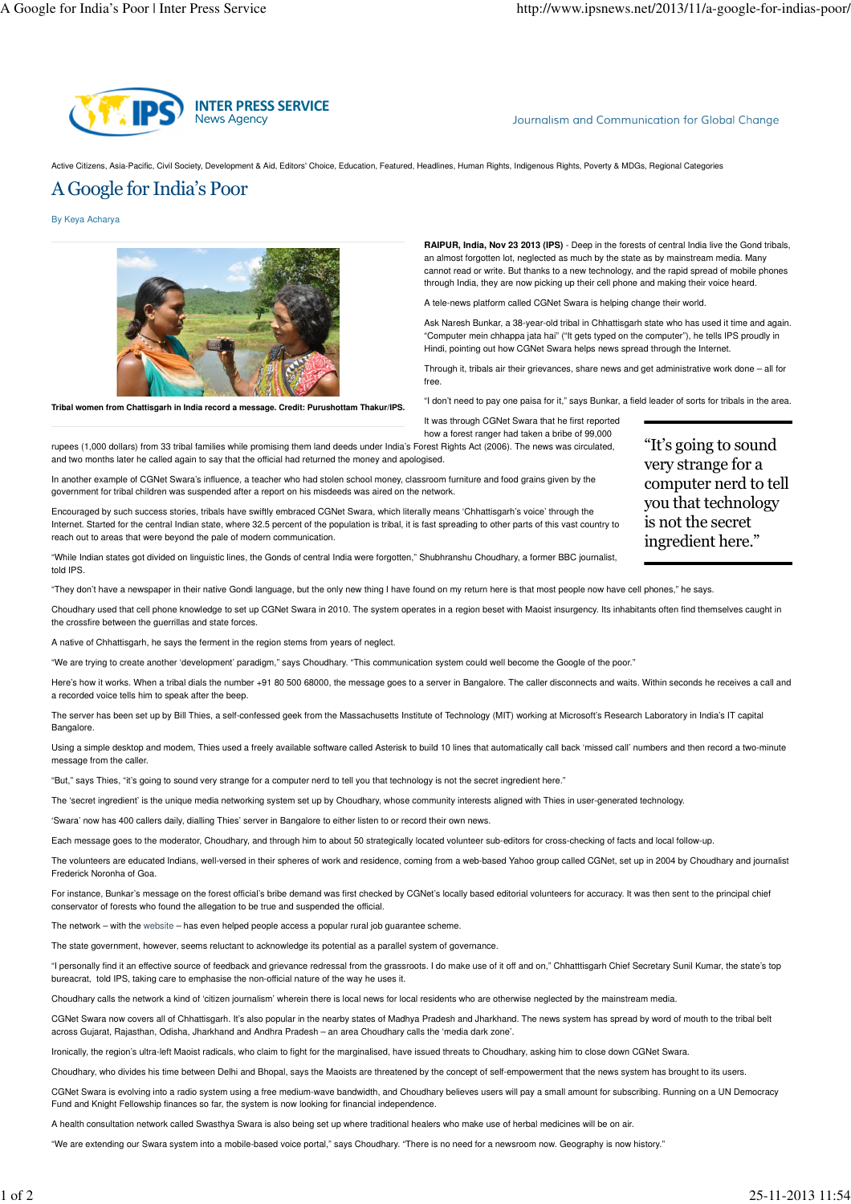

Journalism and Communication for Global Change

Active Citizens, Asia-Pacific, Civil Society, Development & Aid, Editors' Choice, Education, Featured, Headlines, Human Rights, Indigenous Rights, Poverty & MDGs, Regional Categories

## A Google for India's Poor

By Keya Acharya



**Tribal women from Chattisgarh in India record a message. Credit: Purushottam Thakur/IPS.**

**RAIPUR, India, Nov 23 2013 (IPS)** - Deep in the forests of central India live the Gond tribals, an almost forgotten lot, neglected as much by the state as by mainstream media. Many cannot read or write. But thanks to a new technology, and the rapid spread of mobile phones through India, they are now picking up their cell phone and making their voice heard.

A tele-news platform called CGNet Swara is helping change their world.

Ask Naresh Bunkar, a 38-year-old tribal in Chhattisgarh state who has used it time and again. "Computer mein chhappa jata hai" ("It gets typed on the computer"), he tells IPS proudly in Hindi, pointing out how CGNet Swara helps news spread through the Internet.

Through it, tribals air their grievances, share news and get administrative work done – all for free.

"I don't need to pay one paisa for it," says Bunkar, a field leader of sorts for tribals in the area.

It was through CGNet Swara that he first reported how a forest ranger had taken a bribe of 99,000

rupees (1,000 dollars) from 33 tribal families while promising them land deeds under India's Forest Rights Act (2006). The news was circulated, and two months later he called again to say that the official had returned the money and apologised.

In another example of CGNet Swara's influence, a teacher who had stolen school money, classroom furniture and food grains given by the government for tribal children was suspended after a report on his misdeeds was aired on the network.

Encouraged by such success stories, tribals have swiftly embraced CGNet Swara, which literally means 'Chhattisgarh's voice' through the Internet. Started for the central Indian state, where 32.5 percent of the population is tribal, it is fast spreading to other parts of this vast country to reach out to areas that were beyond the pale of modern communication.

"While Indian states got divided on linguistic lines, the Gonds of central India were forgotten," Shubhranshu Choudhary, a former BBC journalist, told IPS

"They don't have a newspaper in their native Gondi language, but the only new thing I have found on my return here is that most people now have cell phones," he says.

Choudhary used that cell phone knowledge to set up CGNet Swara in 2010. The system operates in a region beset with Maoist insurgency. Its inhabitants often find themselves caught in the crossfire between the guerrillas and state forces.

A native of Chhattisgarh, he says the ferment in the region stems from years of neglect.

"We are trying to create another 'development' paradigm," says Choudhary. "This communication system could well become the Google of the poor."

Here's how it works. When a tribal dials the number +91 80 500 68000, the message goes to a server in Bangalore. The caller disconnects and waits. Within seconds he receives a call and a recorded voice tells him to speak after the beep.

The server has been set up by Bill Thies, a self-confessed geek from the Massachusetts Institute of Technology (MIT) working at Microsoft's Research Laboratory in India's IT capital **Bangalore** 

Using a simple desktop and modem, Thies used a freely available software called Asterisk to build 10 lines that automatically call back 'missed call' numbers and then record a two-minute message from the caller.

"But," says Thies, "it's going to sound very strange for a computer nerd to tell you that technology is not the secret ingredient here."

The 'secret ingredient' is the unique media networking system set up by Choudhary, whose community interests aligned with Thies in user-generated technology.

'Swara' now has 400 callers daily, dialling Thies' server in Bangalore to either listen to or record their own news.

Each message goes to the moderator, Choudhary, and through him to about 50 strategically located volunteer sub-editors for cross-checking of facts and local follow-up.

The volunteers are educated Indians, well-versed in their spheres of work and residence, coming from a web-based Yahoo group called CGNet, set up in 2004 by Choudhary and journalist Frederick Noronha of Goa.

For instance, Bunkar's message on the forest official's bribe demand was first checked by CGNet's locally based editorial volunteers for accuracy. It was then sent to the principal chief conservator of forests who found the allegation to be true and suspended the official.

The network – with the website – has even helped people access a popular rural job guarantee scheme.

The state government, however, seems reluctant to acknowledge its potential as a parallel system of governance.

"I personally find it an effective source of feedback and grievance redressal from the grassroots. I do make use of it off and on," Chhatttisgarh Chief Secretary Sunil Kumar, the state's top bureacrat, told IPS, taking care to emphasise the non-official nature of the way he uses it.

Choudhary calls the network a kind of 'citizen journalism' wherein there is local news for local residents who are otherwise neglected by the mainstream media.

CGNet Swara now covers all of Chhattisgarh. It's also popular in the nearby states of Madhya Pradesh and Jharkhand. The news system has spread by word of mouth to the tribal belt across Gujarat, Rajasthan, Odisha, Jharkhand and Andhra Pradesh – an area Choudhary calls the 'media dark zone'.

Ironically, the region's ultra-left Maoist radicals, who claim to fight for the marginalised, have issued threats to Choudhary, asking him to close down CGNet Swara.

Choudhary, who divides his time between Delhi and Bhopal, says the Maoists are threatened by the concept of self-empowerment that the news system has brought to its users.

CGNet Swara is evolving into a radio system using a free medium-wave bandwidth, and Choudhary believes users will pay a small amount for subscribing. Running on a UN Democracy Fund and Knight Fellowship finances so far, the system is now looking for financial independence.

A health consultation network called Swasthya Swara is also being set up where traditional healers who make use of herbal medicines will be on air.

"We are extending our Swara system into a mobile-based voice portal," says Choudhary. "There is no need for a newsroom now. Geography is now history."

"It's going to sound very strange for a computer nerd to tell you that technology is not the secret ingredient here."